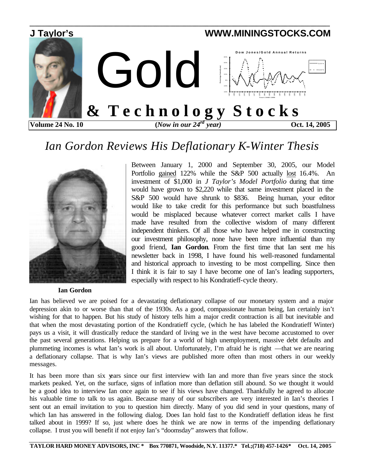

## *Ian Gordon Reviews His Deflationary K-Winter Thesis*



Portfolio gained 122% while the S&P 500 actually lost 16.4%. An investment of \$1,000 in *J Taylor's Model Portfolio* during that time would have grown to \$2,220 while that same investment placed in the S&P 500 would have shrunk to \$836. Being human, your editor would like to take credit for this performance but such boastfulness would be misplaced because whatever correct market calls I have made have resulted from the collective wisdom of many different independent thinkers. Of all those who have helped me in constructing our investment philosophy, none have been more influential than my good friend, **Ian Gordon**. From the first time that Ian sent me his newsletter back in 1998, I have found his well-reasoned fundamental and historical approach to investing to be most compelling. Since then I think it is fair to say I have become one of Ian's leading supporters, especially with respect to his Kondratieff-cycle theory.

Between January 1, 2000 and September 30, 2005, our Model

 **Ian Gordon**

Ian has believed we are poised for a devastating deflationary collapse of our monetary system and a major depression akin to or worse than that of the 1930s. As a good, compassionate human being, Ian certainly isn't wishing for that to happen. But his study of history tells him a major credit contraction is all but inevitable and that when the most devastating portion of the Kondratieff cycle, (which he has labeled the Kondratieff Winter) pays us a visit, it will drastically reduce the standard of living we in the west have become accustomed to over the past several generations. Helping us prepare for a world of high unemployment, massive debt defaults and plummeting incomes is what Ian's work is all about. Unfortunately, I'm afraid he is right —that we are nearing a deflationary collapse. That is why Ian's views are published more often than most others in our weekly messages.

It has been more than six years since our first interview with Ian and more than five years since the stock markets peaked. Yet, on the surface, signs of inflation more than deflation still abound. So we thought it would be a good idea to interview Ian once again to see if his views have changed. Thankfully he agreed to allocate his valuable time to talk to us again. Because many of our subscribers are very interested in Ian's theories I sent out an email invitation to you to question him directly. Many of you did send in your questions, many of which Ian has answered in the following dialog. Does Ian hold fast to the Kondratieff deflation ideas he first talked about in 1999? If so, just where does he think we are now in terms of the impending deflationary collapse. I trust you will benefit if not enjoy Ian's "doomsday" answers that follow.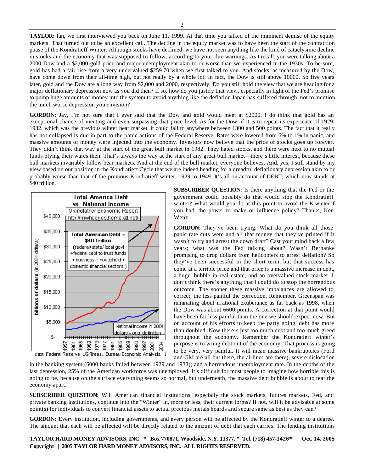**TAYLOR:** Ian, we first interviewed you back on June 11, 1999. At that time you talked of the imminent demise of the equity markets. That turned out to be an excellent call. The decline in the equity market was to have been the start of the contraction phase of the Kondratieff Winter. Although stocks have declined, we have not seen anything like the kind of cataclysmic decline in stocks and the economy that was supposed to follow, according to your dire warnings. As I recall, you were talking about a 2000 Dow and a \$2,000 gold price and major unemployment akin to or worse than we experienced in the 1930s. To be sure, gold has had a fair rise from a very undervalued \$259.70 when we first talked to you. And stocks, as measured by the Dow, have come down from their all-time high, but not really by a whole lot. In fact, the Dow is still above 10000. So five years later, gold and the Dow are a long way from \$2,000 and 2000, respectively. Do you still hold the view that we are heading for a major deflationary depression now as you did then? If so, how do you justify that view, especially in light of the Fed's promise to pump huge amounts of money into the system to avoid anything like the deflation Japan has suffered through, not to mention the much worse depression you envision?

**GORDON**: Jay, I'm not sure that I ever said that the Dow and gold would meet at \$2000. I do think that gold has an exceptional chance of meeting and even surpassing that price level. As for the Dow, if it is to repeat its experience of 1929- 1932, which was the previous winter bear market, it could fall to anywhere between 1300 and 500 points. The fact that it really has not collapsed is due in part to the panic actions of the Federal Reserve. Rates were lowered from 6% to 1% in panic, and massive amounts of money were injected into the economy. Investors now believe that the price of stocks goes up forever. They didn't think that way at the start of the great bull market in 1982. They hated stocks, and there were next to no mutual funds plying their wares then. That's always the way at the start of any great bull market—there's little interest, because these bull markets invariably follow bear markets. And at the end of the bull market, everyone believes. And, yes, I still stand by my view based on our position in the Kondratieff Cycle that we are indeed heading for a dreadful deflationary depression akin to or probably worse than that of the previous Kondratieff winter, 1929 to 1949. It's all on account of DEBT, which now stands at \$40 trillion.



**SUBSCRIBER QUESTION**: Is there anything that the Fed or the government could possibly do that would stop the Kondratieff winter? What would you do at this point to avoid the K-winter if you had the power to make or influence policy? Thanks, Ken Wenz

**GORDON**: They've been trying. What do you think all those panic rate cuts were and all that money that they've printed if it wasn't to try and arrest the down draft? Cast your mind back a few years; what was the Fed talking about? Wasn't Bernanke promising to drop dollars from helicopters to arrest deflation? So they've been successful in the short term, but that success has come at a terrible price and that price is a massive increase in debt, a huge bubble in real estate, and an overvalued stock market. I don't think there's anything that I could do to stop the horrendous outcome. The sooner these massive imbalances are allowed to correct, the less painful the correction. Remember, Greenspan was ruminating about irrational exuberance as far back as 1998, when the Dow was about 6600 points. A correction at that point would have been far less painful than the one we should expect now. But on account of his efforts to keep the party going, debt has more than doubled. Now there's just too much debt and too much greed throughout the economy. Remember the Kondratieff winter's purpose is to wring debt out of the economy. That process is going to be very, very painful. It will mean massive bankruptcies (Ford and GM are all but there, the airlines are there), severe dislocation

in the banking system (6000 banks failed between 1929 and 1933); and a horrendous unemployment rate. In the depths of the last depression, 25% of the American workforce was unemployed. It's difficult for most people to imagine how horrible this is going to be, because on the surface everything seems so normal, but underneath, the massive debt bubble is about to tear the economy apart.

**SUBSCRIBER QUESTION**: Will American financial institutions, especially the stock markets, futures markets, Fed, and private banking institutions, continue into the "Winter" in, more or less, their current forms? If not, will it be advisable at some point(s) for individuals to convert financial assets to actual precious metals hoards and secure same as best as they can?

GORDON: Every institution, including governments, and every person will be affected by the Kondratieff winter to a degree. The amount that each will be affected will be directly related to the amount of debt that each carries. The lending institutions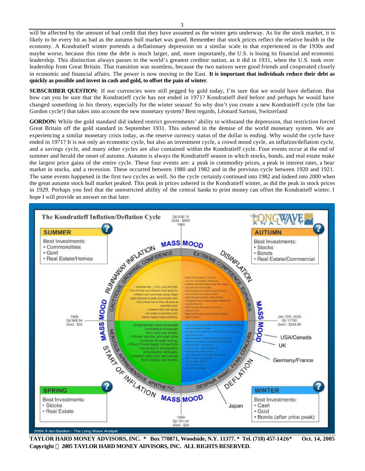will be affected by the amount of bad credit that they have assumed as the winter gets underway. As for the stock market, it is likely to be every bit as bad as the autumn bull market was good. Remember that stock prices reflect the relative health in the economy. A Kondratieff winter portends a deflationary depression on a similar scale to that experienced in the 1930s and maybe worse, because this time the debt is much larger, and, more importantly, the U.S. is losing its financial and economic leadership. This distinction always passes to the world's greatest creditor nation, as it did in 1931, when the U.S. took over leadership from Great Britain. That transition was seamless, because the two nations were good friends and cooperated closely in economic and financial affairs. The power is now moving to the East. **It is important that individuals reduce their debt as quickly as possible and invest in cash and gold, to offset the pain of winter**.

**SUBSCRIBER QUESTION:** If our currencies were still pegged by gold today, I'm sure that we would have deflation. But how can you be sure that the Kondratieff cycle has not ended in 1971? Kondratieff died before and perhaps he would have changed something in his theory, especially for the winter season! So why don't you create a new Kondratieff cycle (the Ian Gordon cycle!) that takes into account the new monetary system? Best regards, Léonard Sartoni, Switzerland

**GORDON:** While the gold standard did indeed restrict governments' ability to withstand the depression, that restriction forced Great Britain off the gold standard in September 1931. This ushered in the demise of the world monetary system. We are experiencing a similar monetary crisis today, as the reserve currency status of the dollar is ending. Why would the cycle have ended in 1971? It is not only an economic cycle, but also an investment cycle, a crowd mood cycle, an inflation/deflation cycle, and a savings cycle, and many other cycles are also contained within the Kondratieff cycle. Four events occur at the end of summer and herald the onset of autumn. Autumn is always the Kondratieff season in which stocks, bonds, and real estate make the largest price gains of the entire cycle. These four events are: a peak in commodity prices, a peak in interest rates, a bear market in stocks, and a recession. These occurred between 1980 and 1982 and in the previous cycle between 1920 and 1921. The same events happened in the first two cycles as well. So the cycle certainly continued into 1982 and indeed into 2000 when the great autumn stock bull market peaked. This peak in prices ushered in the Kondratieff winter, as did the peak in stock prices in 1929. Perhaps you feel that the unrestricted ability of the central banks to print money can offset the Kondratieff winter. I hope I will provide an answer on that later.



**Copyright Ó 2005 TAYLOR HARD MONEY ADVISORS, INC. ALL RIGHTS RESERVED.**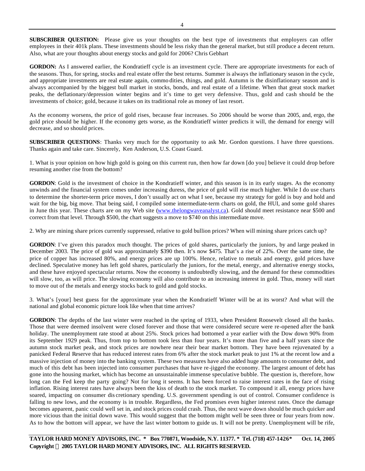**SUBSCRIBER QUESTION:** Please give us your thoughts on the best type of investments that employers can offer employees in their 401k plans. These investments should be less risky than the general market, but still produce a decent return. Also, what are your thoughts about energy stocks and gold for 2006? Chris Gebhart

GORDON: As I answered earlier, the Kondratieff cycle is an investment cycle. There are appropriate investments for each of the seasons. Thus, for spring, stocks and real estate offer the best returns. Summer is always the inflationary season in the cycle, and appropriate investments are real estate again, commo dities, things, and gold. Autumn is the disinflationary season and is always accompanied by the biggest bull market in stocks, bonds, and real estate of a lifetime. When that great stock market peaks, the deflationary/depression winter begins and it's time to get very defensive. Thus, gold and cash should be the investments of choice; gold, because it takes on its traditional role as money of last resort.

As the economy worsens, the price of gold rises, because fear increases. So 2006 should be worse than 2005, and, ergo, the gold price should be higher. If the economy gets worse, as the Kondratieff winter predicts it will, the demand for energy will decrease, and so should prices.

**SUBSCRIBER QUESTIONS**: Thanks very much for the opportunity to ask Mr. Gordon questions. I have three questions. Thanks again and take care. Sincerely, Ken Anderson, U.S. Coast Guard.

1. What is your opinion on how high gold is going on this current run, then how far down [do you] believe it could drop before resuming another rise from the bottom?

GORDON: Gold is the investment of choice in the Kondratieff winter, and this season is in its early stages. As the economy unwinds and the financial system comes under increasing duress, the price of gold will rise much higher. While I do use charts to determine the shorter-term price moves, I don't usually act on what I see, because my strategy for gold is buy and hold and wait for the big, big move. That being said, I compiled some intermediate-term charts on gold, the HUI, and some gold shares in June this year. These charts are on my Web site (www.thelongwaveanalyst.ca). Gold should meet resistance near \$500 and correct from that level. Through \$500, the chart suggests a move to \$740 on this intermediate move.

2. Why are mining share prices currently suppressed, relative to gold bullion prices? When will mining share prices catch up?

**GORDON**: I've given this paradox much thought. The prices of gold shares, particularly the juniors, by and large peaked in December 2003. The price of gold was approximately \$390 then. It's now \$475. That's a rise of 22%. Over the same time, the price of copper has increased 80%, and energy prices are up 100%. Hence, relative to metals and energy, gold prices have declined. Speculative money has left gold shares, particularly the juniors, for the metal, energy, and alternative energy stocks, and these have enjoyed spectacular returns. Now the economy is undoubtedly slowing, and the demand for these commodities will slow, too, as will price. The slowing economy will also contribute to an increasing interest in gold. Thus, money will start to move out of the metals and energy stocks back to gold and gold stocks.

3. What's [your] best guess for the approximate year when the Kondratieff Winter will be at its worst? And what will the national and global economic picture look like when that time arrives?

**GORDON**: The depths of the last winter were reached in the spring of 1933, when President Roosevelt closed all the banks. Those that were deemed insolvent were closed forever and those that were considered secure were re-opened after the bank holiday. The unemployment rate stood at about 25%. Stock prices had bottomed a year earlier with the Dow down 90% from its September 1929 peak. Thus, from top to bottom took less than four years. It's more than five and a half years since the autumn stock market peak, and stock prices are nowhere near their bear market bottom. They have been rejuvenated by a panicked Federal Reserve that has reduced interest rates from 6% after the stock market peak to just 1% at the recent low and a massive injection of money into the banking system. These two measures have also added huge amounts to consumer debt, and much of this debt has been injected into consumer purchases that have re-jigged the economy. The largest amount of debt has gone into the housing market, which has become an unsustainable immense speculative bubble. The question is, therefore, how long can the Fed keep the party going? Not for long it seems. It has been forced to raise interest rates in the face of rising inflation. Rising interest rates have always been the kiss of death to the stock market. To compound it all, energy prices have soared, impacting on consumer dis cretionary spending. U.S. government spending is out of control. Consumer confidence is falling to new lows, and the economy is in trouble. Regardless, the Fed promises even higher interest rates. Once the damage becomes apparent, panic could well set in, and stock prices could crash. Thus, the next wave down should be much quicker and more vicious than the initial down wave. This would suggest that the bottom might well be seen three or four years from now. As to how the bottom will appear, we have the last winter bottom to guide us. It will not be pretty. Unemployment will be rife,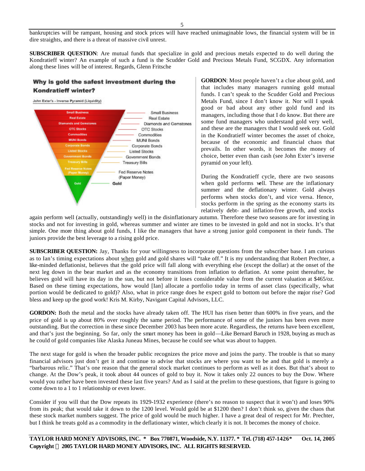bankruptcies will be rampant, housing and stock prices will have reached unimaginable lows, the financial system will be in dire straights, and there is a threat of massive civil unrest.

**SUBSCRIBER QUESTION**: Are mutual funds that specialize in gold and precious metals expected to do well during the Kondratieff winter? An example of such a fund is the Scudder Gold and Precious Metals Fund, SCGDX. Any information along these lines will be of interest. Regards, Glenn Fritsche

## Why is gold the safest investment during the **Kondratieff winter?**

John Exter's - Inverse Pyramid (Liquidity)



**GORDON**: Most people haven't a clue about gold, and that includes many managers running gold mutual funds. I can't speak to the Scudder Gold and Precious Metals Fund, since I don't know it. Nor will I speak good or bad about any other gold fund and its managers, including those that I do know. But there are some fund managers who understand gold very well, and these are the managers that I would seek out. Gold in the Kondratieff winter becomes the asset of choice, because of the economic and financial chaos that prevails. In other words, it becomes the money of choice, better even than cash (see John Exter's inverse pyramid on your left).

During the Kondratieff cycle, there are two seasons when gold performs well. These are the inflationary summer and the deflationary winter. Gold always performs when stocks don't, and vice versa. Hence, stocks perform in the spring as the economy starts its relatively debt- and inflation-free growth, and stocks

again perform well (actually, outstandingly well) in the disinflationary autumn. Therefore these two seasons are for investing in stocks and not for investing in gold, whereas summer and winter are times to be invested in gold and not in stocks. It's that simple. One more thing about gold funds, I like the managers that have a strong junior gold component in their funds. The juniors provide the best leverage to a rising gold price.

**SUBSCRIBER QUESTION:** Jay, Thanks for your willingness to incorporate questions from the subscriber base. I am curious as to Ian's timing expectations about when gold and gold shares will "take off." It is my understanding that Robert Prechter, a like-minded deflationist, believes that the gold price will fall along with everything else (except the dollar) at the onset of the next leg down in the bear market and as the economy transitions from inflation to deflation. At some point thereafter, he believes gold will have its day in the sun, but not before it loses considerable value from the current valuation at \$465/oz. Based on these timing expectations, how would [Ian] allocate a portfolio today in terms of asset class (specifically, what portion would be dedicated to gold)? Also, what in price range does he expect gold to bottom out before the major rise? God bless and keep up the good work! Kris M. Kirby, Navigant Capital Advisors, LLC.

**GORDON:** Both the metal and the stocks have already taken off. The HUI has risen better than 600% in five years, and the price of gold is up about 80% over roughly the same period. The performance of some of the juniors has been even more outstanding. But the correction in these since December 2003 has been more acute. Regardless, the returns have been excellent, and that's just the beginning. So far, only the smart money has been in gold—Like Bernard Baruch in 1928, buying as much as he could of gold companies like Alaska Juneau Mines, because he could see what was about to happen.

The next stage for gold is when the broader public recognizes the price move and joins the party. The trouble is that so many financial advisors just don't get it and continue to advise that stocks are where you want to be and that gold is merely a "barbarous relic." That's one reason that the general stock market continues to perform as well as it does. But that's about to change. At the Dow's peak, it took about 44 ounces of gold to buy it. Now it takes only 22 ounces to buy the Dow. Where would you rather have been invested these last five years? And as I said at the prelim to these questions, that figure is going to come down to a 1 to 1 relationship or even lower.

Consider if you will that the Dow repeats its 1929-1932 experience (there's no reason to suspect that it won't) and loses 90% from its peak; that would take it down to the 1200 level. Would gold be at \$1200 then? I don't think so, given the chaos that these stock market numbers suggest. The price of gold would be much higher. I have a great deal of respect for Mr. Prechter, but I think he treats gold as a commodity in the deflationary winter, which clearly it is not. It becomes the money of choice.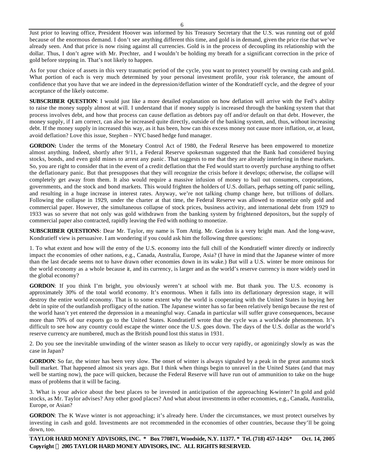Just prior to leaving office, President Hoover was informed by his Treasury Secretary that the U.S. was running out of gold because of the enormous demand. I don't see anything different this time, and gold is in demand, given the price rise that we've already seen. And that price is now rising against all currencies. Gold is in the process of decoupling its relationship with the dollar. Thus, I don't agree with Mr. Prechter, and I wouldn't be holding my breath for a significant correction in the price of gold before stepping in. That's not likely to happen.

As for your choice of assets in this very traumatic period of the cycle, you want to protect yourself by owning cash and gold. What portion of each is very much determined by your personal investment profile, your risk tolerance, the amount of confidence that you have that we are indeed in the depression/deflation winter of the Kondratieff cycle, and the degree of your acceptance of the likely outcome.

**SUBSCRIBER QUESTION**: I would just like a more detailed explanation on how deflation will arrive with the Fed's ability to raise the money supply almost at will. I understand that if money supply is increased through the banking system that that process involves debt, and how that process can cause deflation as debtors pay off and/or default on that debt. However, the money supply, if I am correct, can also be increased quite directly, outside of the banking system, and, thus, without increasing debt. If the money supply in increased this way, as it has been, how can this excess money not cause more inflation, or, at least, avoid deflation? Love this issue, Stephen – NYC based hedge fund manager.

**GORDON:** Under the terms of the Monetary Control Act of 1980, the Federal Reserve has been empowered to monetize almost anything. Indeed, shortly after 9/11, a Federal Reserve spokesman suggested that the Bank had considered buying stocks, bonds, and even gold mines to arrest any panic. That suggests to me that they are already interfering in these markets. So, you are right to consider that in the event of a credit deflation that the Fed would start to overtly purchase anything to offset the deflationary panic. But that presupposes that they will recognize the crisis before it develops; otherwise, the collapse will completely get away from them. It also would require a massive infusion of money to bail out consumers, corporations, governments, and the stock and bond markets. This would frighten the holders of U.S. dollars, perhaps setting off panic selling, and resulting in a huge increase in interest rates. Anyway, we're not talking chump change here, but trillions of dollars. Following the collapse in 1929, under the charter at that time, the Federal Reserve was allowed to monetize only gold and commercial paper. However, the simultaneous collapse of stock prices, business activity, and international debt from 1929 to 1933 was so severe that not only was gold withdrawn from the banking system by frightened depositors, but the supply of commercial paper also contracted, rapidly leaving the Fed with nothing to monetize.

**SUBSCRIBER QUESTIONS**: Dear Mr. Taylor, my name is Tom Attig. Mr. Gordon is a very bright man. And the long-wave, Kondratieff view is persuasive. I am wondering if you could ask him the following three questions:

1. To what extent and how will the entry of the U.S. economy into the full chill of the Kondratieff winter directly or indirectly impact the economies of other nations, e.g., Canada, Australia, Europe, Asia? (I have in mind that the Japanese winter of more than the last decade seems not to have drawn other economies down in its wake.) But will a U.S. winter be more ominous for the world economy as a whole because it, and its currency, is larger and as the world's reserve currency is more widely used in the global economy?

**GORDON**: If you think I'm bright, you obviously weren't at school with me. But thank you. The U.S. economy is approximately 30% of the total world economy. It's enormous. When it falls into its deflationary depression stage, it will destroy the entire world economy. That is to some extent why the world is cooperating with the United States in buying her debt in spite of the outlandish profligacy of the nation. The Japanese winter has so far been relatively benign because the rest of the world hasn't yet entered the depression in a meaningful way. Canada in particular will suffer grave consequences, because more than 70% of our exports go to the United States. Kondratieff wrote that the cycle was a worldwide phenomenon. It's difficult to see how any country could escape the winter once the U.S. goes down. The days of the U.S. dollar as the world's reserve currency are numbered, much as the British pound lost this status in 1931.

2. Do you see the inevitable unwinding of the winter season as likely to occur very rapidly, or agonizingly slowly as was the case in Japan?

**GORDON**: So far, the winter has been very slow. The onset of winter is always signaled by a peak in the great autumn stock bull market. That happened almost six years ago. But I think when things begin to unravel in the United States (and that may well be starting now), the pace will quicken, because the Federal Reserve will have run out of ammunition to take on the huge mass of problems that it will be facing.

3. What is your advice about the best places to be invested in anticipation of the approaching K-winter? In gold and gold stocks, as Mr. Taylor advises? Any other good places? And what about investments in other economies, e.g., Canada, Australia, Europe, or Asian?

**GORDON**: The K Wave winter is not approaching; it's already here. Under the circumstances, we must protect ourselves by investing in cash and gold. Investments are not recommended in the economies of other countries, because they'll be going down, too.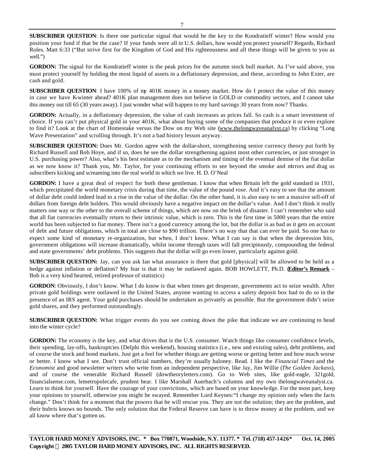**SUBSCRIBER QUESTION**: Is there one particular signal that would be the key to the Kondratieff winter? How would you position your fund if that be the case? If your funds were all in U.S. dollars, how would you protect yourself? Regards, Richard Roles. Matt 6:33 ("But strive first for the Kingdom of God and His righteousness and all these things will be given to you as well.")

GORDON: The signal for the Kondratieff winter is the peak prices for the autumn stock bull market. As I've said above, you must protect yourself by holding the most liquid of assets in a deflationary depression, and these, according to John Exter, are cash and gold.

**SUBSCRIBER QUESTION**: I have 100% of my 401K money in a money market. How do I protect the value of this money in case we have K-winter ahead? 401K plan management does not believe in GOLD or commodity sectors, and I cannot take this money out till 65 (30 years away). I just wonder what will happen to my hard savings 30 years from now? Thanks.

**GORDON:** Actually, in a deflationary depression, the value of cash increases as prices fall. So cash is a smart investment of choice. If you can't put physical gold in your 401K, what about buying some of the companies that produce it or even explore to find it? Look at the chart of Homestake versus the Dow on my Web site (www.thelongwaveanalyst.ca) by clicking "Long Wave Presentation" and scrolling through. It's not a bad history lesson anyway.

**SUBSCRIBER QUESTION:** Does Mr. Gordon agree with the dollar-short, strengthening senior currency theory put forth by Richard Russell and Bob Hoye, and if so, does he see the dollar strengthening against most other currencies, or just stronger in U.S. purchasing power? Also, what's his best estimate as to the mechanism and timing of the eventual demise of the fiat dollar as we now know it? Thank you, Mr. Taylor, for your continuing efforts to see beyond the smoke and mirrors and drag us subscribers kicking and screaming into the real world in which we live. H. D. O'Neal

**GORDON:** I have a great deal of respect for both these gentleman. I know that when Britain left the gold standard in 1931, which precipitated the world monetary crisis during that time, the value of the pound rose. And it's easy to see that the amount of dollar debt could indeed lead to a rise in the value of the dollar. On the other hand, it is also easy to see a massive sell-off of dollars from foreign debt holders. This would obviously have a negative impact on the dollar's value. And I don't think it really matters one way or the other to the overall scheme of things, which are now on the brink of disaster. I can't remember who said that all fiat currencies eventually return to their intrinsic value, which is zero. This is the first time in 5000 years that the entire world has been subjected to fiat money. There isn't a good currency among the lot, but the dollar is as bad as it gets on account of debt and future obligations, which in total are close to \$90 trillion. There's no way that that can ever be paid. So one has to expect some kind of monetary re-organization, but when, I don't know. What I can say is that when the depression hits, government obligations will increase dramatically, whilst income through taxes will fall precipitously, compounding the federal and state governments' debt problems. This suggests that the dollar will go even lower, particularly against gold.

**SUBSCRIBER QUESTION:** Jay, can you ask Ian what assurance is there that gold [physical] will be allowed to be held as a hedge against inflation or deflation? My fear is that it may be outlawed again. BOB HOWLETT, Ph.D. (**Editor's Remark** – Bob is a very kind hearted, retired professor of statistics)

**GORDON**: Obviously, I don't know. What I do know is that when times get desperate, governments act to seize wealth. After private gold holdings were outlawed in the United States, anyone wanting to access a safety deposit box had to do so in the presence of an IRS agent. Your gold purchases should be undertaken as privately as possible. But the government didn't seize gold shares, and they performed outstandingly.

**SUBSCRIBER QUESTION:** What trigger events do you see coming down the pike that indicate we are continuing to head into the winter cycle?

**GORDON:** The economy is the key, and what drives that is the U.S. consumer. Watch things like consumer confidence levels, their spending, lay-offs, bankruptcies (Delphi this weekend), housing statistics (i.e., new and existing sales), debt problems, and of course the stock and bond markets. Just get a feel for whether things are getting worse or getting better and how much worse or better. I know what I see. Don't trust official numbers, they're usually baloney. Read. I like the *Financial Times* and the *Economist* and good newsletter writers who write from an independent perspective, like Jay, Jim Willie (*The Golden Jackass*), and of course the venerable Richard Russell (dowtheoryletters.com). Go to Web sites, like gold-eagle, 321gold, financialsense.com, lemetropolecafe, prudent bear. I like Marshall Auerbach's columns and my own thelongwaveanalyst.ca. Learn to think for yourself. Have the courage of your convictions, which are based on your knowledge. For the most part, keep your opinions to yourself, otherwise you might be swayed. Remember Lord Keynes:"I change my opinion only when the facts change." Don't think for a moment that the powers that be will rescue you. They are not the solution; they are the problem, and their hubris knows no bounds. The only solution that the Federal Reserve can have is to throw money at the problem, and we all know where that's gotten us.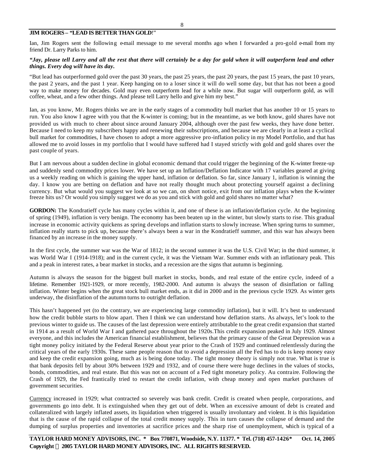## **JIM ROGERS – "LEAD IS BETTER THAN GOLD**!"

Ian, Jim Rogers sent the following e-mail message to me several months ago when I forwarded a pro-gold e-mail from my friend Dr. Larry Parks to him.

## *"Jay, please tell Larry and all the rest that there will certainly be a day for gold when it will outperform lead and other things. Every dog will have its day.*

"But lead has outperformed gold over the past 30 years, the past 25 years, the past 20 years, the past 15 years, the past 10 years, the past 2 years, and the past 1 year. Keep hanging on to a loser since it will do well some day, but that has not been a good way to make money for decades. Gold may even outperform lead for a while now. But sugar will outperform gold, as will coffee, wheat, and a few other things. And please tell Larry hello and give him my best."

Ian, as you know, Mr. Rogers thinks we are in the early stages of a commodity bull market that has another 10 or 15 years to run. You also know I agree with you that the K-winter is coming; but in the meantime, as we both know, gold shares have not provided us with much to cheer about since around January 2004, although over the past few weeks, they have done better. Because I need to keep my subscribers happy and renewing their subscriptions, and because we are clearly in at least a cyclical bull market for commodities, I have chosen to adopt a more aggressive pro-inflation policy in my Model Portfolio, and that has allowed me to avoid losses in my portfolio that I would have suffered had I stayed strictly with gold and gold shares over the past couple of years.

But I am nervous about a sudden decline in global economic demand that could trigger the beginning of the K-winter freeze-up and suddenly send commodity prices lower. We have set up an Inflation/Deflation Indicator with 17 variables geared at giving us a weekly reading on which is gaining the upper hand, inflation or deflation. So far, since January 1, inflation is winning the day. I know you are betting on deflation and have not really thought much about protecting yourself against a declining currency. But what would you suggest we look at so we can, on short notice, exit from our inflation plays when the K-winter freeze hits us? Or would you simply suggest we do as you and stick with gold and gold shares no matter what?

GORDON: The Kondratieff cycle has many cycles within it, and one of these is an inflation/deflation cycle. At the beginning of spring (1949), inflation is very benign. The economy has been beaten up in the winter, but slowly starts to rise. This gradual increase in economic activity quickens as spring develops and inflation starts to slowly increase. When spring turns to summer, inflation really starts to pick up, because there's always been a war in the Kondratieff summer, and this war has always been financed by an increase in the money supply.

In the first cycle, the summer war was the War of 1812; in the second summer it was the U.S. Civil War; in the third summer, it was World War I (1914-1918); and in the current cycle, it was the Vietnam War. Summer ends with an inflationary peak. This and a peak in interest rates, a bear market in stocks, and a recession are the signs that autumn is beginning.

Autumn is always the season for the biggest bull market in stocks, bonds, and real estate of the entire cycle, indeed of a lifetime. Remember 1921-1929, or more recently, 1982-2000. And autumn is always the season of disinflation or falling inflation. Winter begins when the great stock bull market ends, as it did in 2000 and in the previous cycle 1929. As winter gets underway, the disinflation of the autumn turns to outright deflation.

This hasn't happened yet (to the contrary, we are experiencing large commodity inflation), but it will. It's best to understand how the credit bubble starts to blow apart. Then I think we can understand how deflation starts. As always, let's look to the previous winter to guide us. The causes of the last depression were entirely attributable to the great credit expansion that started in 1914 as a result of World War I and gathered pace throughout the 1920s.This credit expansion peaked in July 1929. Almost everyone, and this includes the American financial establishment, believes that the primary cause of the Great Depression was a tight money policy initiated by the Federal Reserve about year prior to the Crash of 1929 and continued relentlessly during the critical years of the early 1930s. These same people reason that to avoid a depression all the Fed has to do is keep money easy and keep the credit expansion going, much as is being done today. The tight money theory is simply not true. What is true is that bank deposits fell by about 30% between 1929 and 1932, and of course there were huge declines in the values of stocks, bonds, commodities, and real estate. But this was not on account of a Fed tight monetary policy. Au contraire. Following the Crash of 1929, the Fed frantically tried to restart the credit inflation, with cheap money and open market purchases of government securities.

Currency increased in 1929; what contracted so severely was bank credit. Credit is created when people, corporations, and governments go into debt. It is extinguished when they get out of debt. When an excessive amount of debt is created and collateralized with largely inflated assets, its liquidation when triggered is usually involuntary and violent. It is this liquidation that is the cause of the rapid collapse of the total credit money supply. This in turn causes the collapse of demand and the dumping of surplus properties and inventories at sacrifice prices and the sharp rise of unemployment, which is typical of a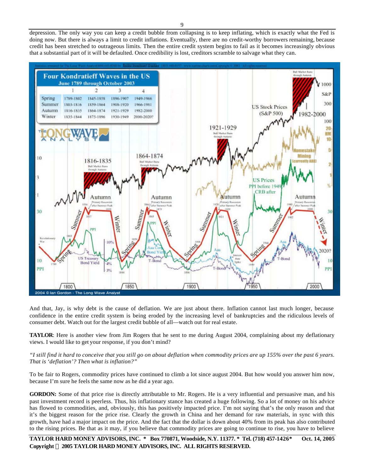depression. The only way you can keep a credit bubble from collapsing is to keep inflating, which is exactly what the Fed is doing now. But there is always a limit to credit inflations. Eventually, there are no credit-worthy borrowers remaining, because credit has been stretched to outrageous limits. Then the entire credit system begins to fail as it becomes increasingly obvious that a substantial part of it will be defaulted. Once credibility is lost, creditors scramble to salvage what they can.



And that, Jay, is why debt is the cause of deflation. We are just about there. Inflation cannot last much longer, because confidence in the entire credit system is being eroded by the increasing level of bankruptcies and the ridiculous levels of consumer debt. Watch out for the largest credit bubble of all—watch out for real estate.

**TAYLOR**: Here is another view from Jim Rogers that he sent to me during August 2004, complaining about my deflationary views. I would like to get your response, if you don't mind?

*"I still find it hard to conceive that you still go on about deflation when commodity prices are up 155% over the past 6 years. That is 'deflation'? Then what is inflation?"*

To be fair to Rogers, commodity prices have continued to climb a lot since august 2004. But how would you answer him now, because I'm sure he feels the same now as he did a year ago.

**GORDON:** Some of that price rise is directly attributable to Mr. Rogers. He is a very influential and persuasive man, and his past investment record is peerless. Thus, his inflationary stance has created a huge following. So a lot of money on his advice has flowed to commodities, and, obviously, this has positively impacted price. I'm not saying that's the only reason and that it's the biggest reason for the price rise. Clearly the growth in China and her demand for raw materials, in sync with this growth, have had a major impact on the price. And the fact that the dollar is down about 40% from its peak has also contributed to the rising prices. Be that as it may, if you believe that commodity prices are going to continue to rise, you have to believe

**TAYLOR HARD MONEY ADVISORS, INC. \* Box 770871, Woodside, N.Y. 11377. \* Tel. (718) 457-1426\* Oct. 14, 2005 Copyright Ó 2005 TAYLOR HARD MONEY ADVISORS, INC. ALL RIGHTS RESERVED.**